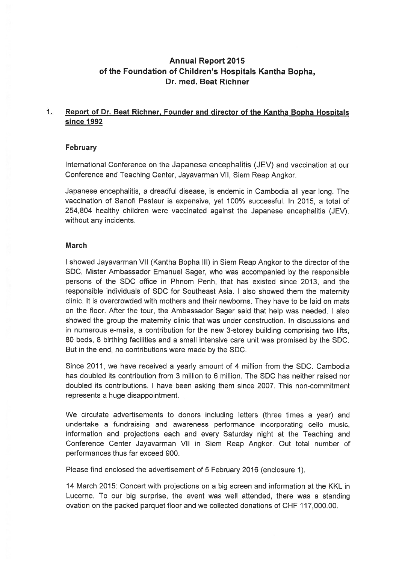# Annual Report 2015 of the Foundation of Children's Hospitals Kantha Bopha, Dr. med. Beat Richner

#### $1<sup>1</sup>$ Report of Dr. Beat Richner, Founder and director of the Kantha Bopha Hospitals since 1992

# February

International Conference an the Japanese encephalitis (JEV) and vaccination at our Conference and Teaching Center, Jayavarman VII, Siem Reap Angkor.

Japanese encephalitis, <sup>a</sup> dreadful disease, is endemic in Cambadia all year lang. The vaccination of Sanofi Pasteur is expensive, ye<sup>t</sup> 100% successful. In 2015, <sup>a</sup> total of 254,804 healthy children were vaccinated against the Japanese encephalitis (JEV), withaut any incidents.

# **March**

1 showed Jayavarman VII (Kantha Bopha III) in Siem Reap Angkor to the director af the SDC, Mister Ambassador Emanuel Sager, who was accompanied by the responsible persons of the SDC office in Phnom Penh, that has existed since 2013, and the responsible individuals of SDC for Southeast Asia. I also showed them the maternity clinic. lt is overcrowded with mathers and their newbarns. They have to be laid an mats an the floor. After the tour, the Ambassador Sager said that help was needed. 1 also showed the group the maternity clinic that was under construction. In discussions and in numeraus e-mails, <sup>a</sup> contribution for the new 3-starey building camprising twa lifts, 80 beds, 8 birthing facilities and a small intensive care unit was promised by the SDC. But in the end, no contributions were made by the SDC.

Since 2011, we have received <sup>a</sup> yearly amaunt af 4 million from the SDC. Cambodia has doubled its contribution from 3 million to 6 million. The SDC has neither raised nor doubled its cantributians. 1 have been asking them since 2007. This non-cammitment represents <sup>a</sup> huge disappointment.

We circulate advertisements to donors including letters (three times a year) and undertake a fundraising and awareness performance incorporating cello music, information and projections each and every Saturday night at the Teaching and Conference Center Jayavarman VII in Siem Reap Angkor. Out total number of performances thus far exceed 900.

Please find enclosed the advertisement of 5 February 2016 (enclosure 1).

14 March 2015: Cancert with prajectians an <sup>a</sup> big screen and information at the KKL in Lucerne. To our big surprise, the event was well attended, there was a standing ovation on the packed parquet floor and we collected donations of CHF 117,000.00.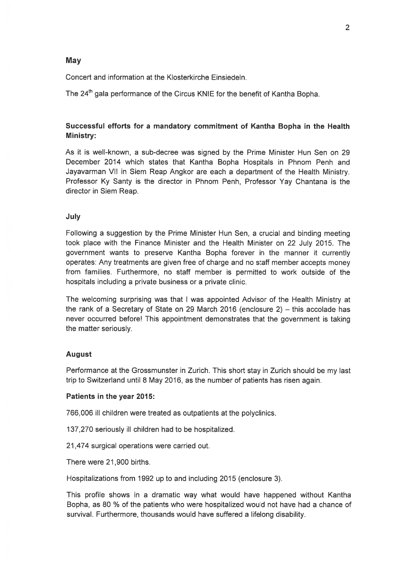## May

Concert and information at the Klosterkirche Einsiedeln.

The 24<sup>th</sup> gala performance of the Circus KNIE for the benefit of Kantha Bopha.

# Successful efforts for <sup>a</sup> mandatory commitment of Kantha Bopha in the Health Ministry:

As lt is weII-known, <sup>a</sup> sub-decree was signed by the Prime Minister Hun Sen on 29 December 2014 which states that Kantha Bopha Hospitals in Phnom Penh and Jayavarman VII in Siem Reap Angkor are each <sup>a</sup> department of the Health Ministry. Professor Ky Santy is the director in Phnom Penh, Professor Yay Chantana is the director in Siem Reap.

## **July**

Following <sup>a</sup> suggestion by the Prime Minister Hun Sen, <sup>a</sup> crucial and binding meeting took place with the Finance Minister and the Health Minister on 22 July 2015. The governmen<sup>t</sup> wants to preserve Kantha Bopha forever in the manner it currently operates: Any treatments are given free of charge and no staff member accepts money from families. Furthermore, no staff member is permitted to work outside of the hospitals including <sup>a</sup> private business ot <sup>a</sup> private clinic.

The welcoming surprising was that 1 was appointed Advisor of the Health Ministry at the rank of <sup>a</sup> Secretary of State on 29 March 2016 (enclosure 2) — this accolade has never occurred before! This appointment demonstrates that the governmen<sup>t</sup> is taking the matter seriously.

## August

Performance at the Grossmunster in Zurich. This short stay in Zurich should be my last trip to Switzerland until 8 May 2016, as the number of patients has risen again.

### Patients in the year 2015:

766,006 ill children were treated as outpatients at the polyclinics.

137,270 seriously ill children had to be hospitalized.

21,474 surgical Operations were carried out.

There were 21,900 births.

Hospitalizations from 1992 up to and including 2015 (enclosure 3).

This profile shows in <sup>a</sup> dramatic way what would have happened without Kantha Bopha, as 80 % of the patients who were hospitalized would not have had <sup>a</sup> chance of survival. Furthermore, thousands would have suffered <sup>a</sup> lifelong disability.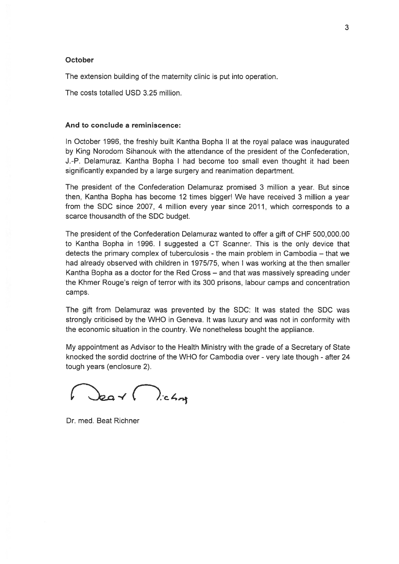#### October

The extension building of the maternity clinic is put into operation.

The costs totalled USD 325 million.

### And to conclude <sup>a</sup> reminiscence:

In October 1996, the freshly built Kantha Bopha II at the royal palace was inaugurated by King Norodom Sihanouk with the attendance of the president of the Confederation, J.-P. Delamuraz. Kantha Bopha 1 had become too small even thought lt had been significantly expanded by <sup>a</sup> large surgery and reanimation department.

The president of the Confederation Delamuraz promised 3 million <sup>a</sup> year. But since then, Kantha Bopha has become 12 times bigger' We have received 3 million <sup>a</sup> year from the SDC since 2007, 4 million every year since 2011, which corresponds to <sup>a</sup> scarce thousandth of the SDC budget.

The president of the Confederation Delamuraz wanted to offer <sup>a</sup> gift of CHF 500,000.00 to Kantha Bopha in 1996. 1 suggested <sup>a</sup> CT Scanner. This is the only device that detects the primary complex of tuberculosis - the main problem in Cambodia — that we had already observed with children in 1975/75, when I was working at the then smaller Kantha Bopha as <sup>a</sup> doctor for the Red Cross — and that was massively spreading under the Khmer Rouge's reign of terror with its 300 prisons, labour camps and concentration camps.

The gift from Delamuraz was prevented by the SDC: lt was stated the SDC was strongly criticised by the WHO in Geneva. lt was luxury and was not in conformity with the economic situation in the country. We nonetheless bought the appliance.

My appointment as Advisor to the Health Ministry with the grade of <sup>a</sup> Secretary of State knocked the sordid doctrine of the WHO for Cambodia over - very late though - after 24 tough years (enclosure 2).

 $\int_{\mathcal{E}}$   $\int_{\mathcal{E}}$   $\int_{\mathcal{E}}$ 

Dr. med. Beat Richner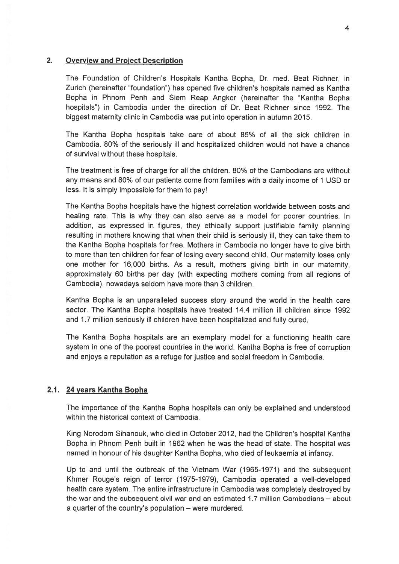## 2. Overview and Project Description

The Foundation of Children's Hospitals Kantha Bopha, Dr. med. Beat Richner, in Zurich (hereinafter 'foundation") has opened five children's hospitals named as Kantha Bopha in Phnom Penh and Siem Reap Angkor (hereinafter the "Kantha Bopha hospitals") in Cambodia under the direction of Dr. Beat Richner since 1992. The biggest maternity clinic in Cambodia was pu<sup>t</sup> into operation in autumn 2015.

The Kantha Bopha hospitals take care of about 85% of all the sick children in Cambodia. 80% of the seriously iii and hospitalized children would not have <sup>a</sup> chance of survival without these hospitals.

The treatment is free of charge for all the children. 80% of the Cambodians are without any means and 80% of our patients come from families with <sup>a</sup> daily income of 1 USD or less. lt is simply impossible for them to pay!

The Kantha Bopha hospitals have the highest correlation worldwide between costs and healing rate. This is why they can also serve as <sup>a</sup> model for poorer countries. In addition, as expressed in figures, they ethically suppor<sup>t</sup> justifiable family <sup>p</sup>lanning resulting in mothers knowing that when their child is seriously ill, they can take them to the Kantha Bopha hospitals for free. Mothers in Cambodia no longer have to <sup>g</sup>ive birth to more than ten children for fear of losing every second child. Our maternity loses only one mother for 16,000 births. As <sup>a</sup> result, mothers giving birth in our maternity, approximately 60 births per day (with expecting mothers coming from all regions of Cambodia), nowadays seldom have more than 3 children.

Kantha Bopha is an unparalleled success story around the world in the health care sector. The Kantha Bopha hospitals have treated 14.4 million ill children since 1992 and 1.7 million seriously ill children have been hospitalized and fully cured.

The Kantha Bopha hospitals are an exemplary model for <sup>a</sup> functioning health care system in one of the poores<sup>t</sup> countries in the world. Kantha Bopha is free of corruption and enjoys a reputation as a refuge for justice and social freedom in Cambodia.

## 2.1. 24years Kantha Bopha

The importance of the Kantha Bopha hospitals can only be explained and understood within the historical context of Cambodia.

King Norodom Sihanouk, who died in October 2012, had the Children's hospital Kantha Bopha in Phnom Penh built in 1962 when he was the head of state. The hospital was named in honour of his daughter Kantha Bopha, who died of leukaemia at infancy.

Up to and until the outbreak of the Vietnam War (1965-1971) and the subsequent Khmer Rouge's reign of terror (1975-1979), Cambodia operated <sup>a</sup> well-developed health care system. The entire infrastructure in Cambodia was completely destroyed by the war and the subsequent civil war and an estimated 1.7 million Cambodians — about <sup>a</sup> quarter of the country's population — were murdered.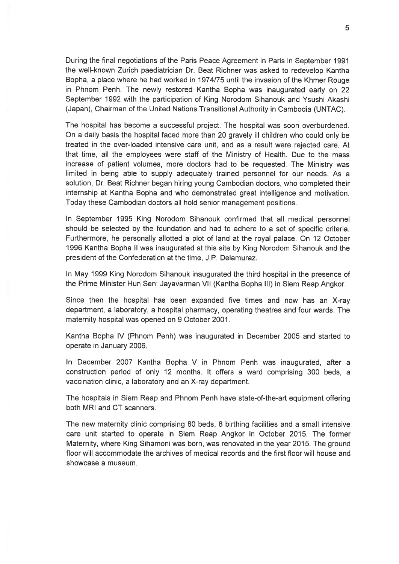During the final negotiations of the Paris Peace Agreement in Paris in September 1991 the well-known Zurich paediatrician Dr. Beat Richner was asked to redevelop Kantha Bopha, <sup>a</sup> <sup>p</sup>lace where he had worked in 1974/75 until the invasion of the Khmer Rouge in Phnom Penh. The newly restored Kantha Bopha was inaugurated early on 22 September 1992 with the participation of King Norodom Sihanouk and Ysushi Akashi (Japan), Chairman of the United Nations Transitional Authority in Cambodia (UNTAC).

The hospital has become <sup>a</sup> successful project. The hospital was soon overburdened. On <sup>a</sup> daily basis the hospital faced more than 20 gravely iii children who could only be treated in the over-loaded intensive care unit, and as <sup>a</sup> result were rejected care. At that time, all the employees were staff of the Ministry of Health. Due to the mass increase of patient volumes, more doctors had to be requested. The Ministry was Iimited in being able to supply adequately trained personnel for our needs. As <sup>a</sup> solution, Dr. Beat Richner began hiring young Cambodian doctors, who completed their internship at Kantha Bopha and who demonstrated grea<sup>t</sup> intelligence and motivation. Today these Cambodian doctors all hold senior managemen<sup>t</sup> positions.

In September 1995 King Norodom Sihanouk confirmed that all medical personnel should be selected by the foundation and had to adhere to a set of specific criteria. Furthermore, he personally allotted <sup>a</sup> plot of land at the royal palace. On 12 October 1996 Kantha Bopha II was inaugurated at this site by King Norodom Sihanouk and the president of the Confederation at the time, J.P. Delamuraz.

In May 1999 King Norodom Sihanouk inaugurated the third hospital in the presence of the Prime Minister Hun Sen: Jayavarman VII (Kantha Bopha III) in Siem Reap Angkor.

Since then the hospital has been expanded five times and now has an X-ray department, <sup>a</sup> laboratory, <sup>a</sup> hospital pharmacy, operating theatres and four wards. The maternity hospital was opened on 9 October 2001.

Kantha Bopha IV (Phnom Penh) was inaugurated in December 2005 and started to operate in January 2006.

In December 2007 Kantha Bopha V in Phnom Penh was inaugurated, after <sup>a</sup> construction period of only 12 months. lt offers <sup>a</sup> ward comprising 300 beds, <sup>a</sup> vaccination clinic, <sup>a</sup> laboratory and an X-ray department.

The hospitals in Siem Reap and Phnom Penh have state-of-the-art equipment offering both MRI and CT scanners.

The new maternity clinic comprising 80 beds, 8 birthing facilities and <sup>a</sup> small intensive care unit started to operate in Siem Reap Angkor in October 2015. The farmer Maternity, where King Sihamoni was born, was renovated in the year 2015. The ground floor will accommodate the archives of medical records and the first floor will house and showcase <sup>a</sup> museum.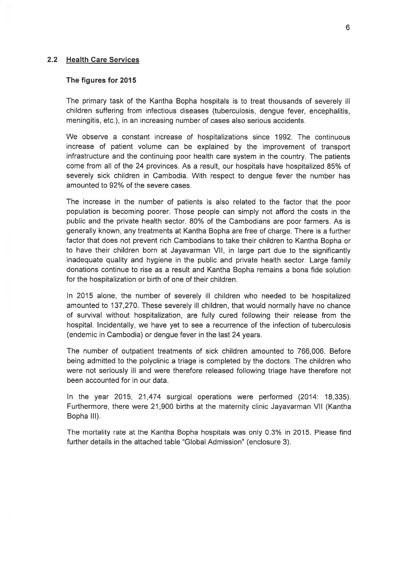### 2.2 Health Care Services

#### The figures for 2015

The primary task of the Kantha Bopha hospitals is to treat thousands of severely iii children suffering from infectious diseases (tuberculosis, dengue fever, encephalitis, meningitis, etc.), in an increasing number of cases also serious accidents.

We observe <sup>a</sup> constant increase of hospitalizations since 1992. The continuous increase of patient volume can be explained by the improvement of transport infrastructure and the continuing poor health care system in the country. The patients come from all of the 24 provinces. As <sup>a</sup> result, our hospitals have hospitalized 85% of severely sick children in Cambodia. With respec<sup>t</sup> to dengue fever the number has amounted to 92% of the severe cases.

The increase in the number of patients is also related to the factor that the poor population is becoming poorer. Those people can simply not afford the costs in the public and the private health sector. 80% of the Cambodians are poor farmers. As is generally known, any treatments at Kantha Bopha ate free of charge. There is <sup>a</sup> further factor that does not preven<sup>t</sup> rich Cambodians to take their children to Kantha Bopha or to have their children born at Jayavarman VII, in large part due to the significantly inadequate quality and hygiene in the public and private health sector. Large family donations continue to rise as <sup>a</sup> result and Kantha Bopha remains <sup>a</sup> bona fide solution for the hospitalization or birth of one of their children.

In 2015 alone, the number of severely ill children who needed to be hospitalized amounted to 137,270. These severely II children, that would normally have no chance of survival without hospitalization, are fully cured following their release from the hospital. Incidentally, we have ye<sup>t</sup> to see <sup>a</sup> recurrence of the infection of tuberculosis (endemic in Cambodia) or dengue fever in the last 24 years.

The number of outpatient treatments of sick children amounted to 766,006. Before being admitted to the polyclinic <sup>a</sup> triage is completed by the doctors. The children who were not seriously ill and were therefore released following triage have therefore not been accounted for in our data.

In the year 2015, 21,474 surgical operations were performed (2014: 18,335). Furthermore, there were 21,900 births at the maternity clinic Jayavarman VII (Kantha Bopha III).

The mortality rate at the Kantha Bopha hospitals was only 0.3% in 2015. Please find further details in the attached table "Global Admission" (enclosure 3).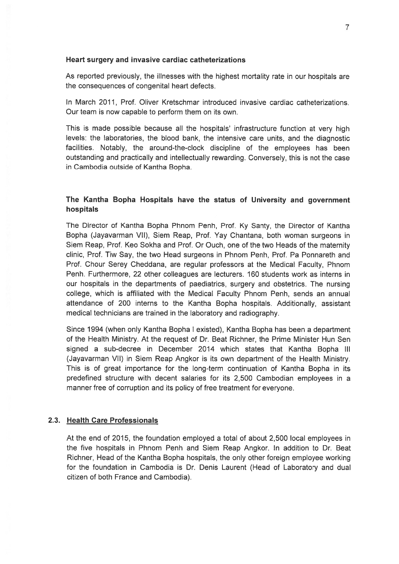#### Heart surgery and invasive cardiac catheterizations

As reported previously, the illnesses with the highest mortality rate in our hospitals are the consequences of congenital heart defects.

In March 2011, Prof. Oliver Kretschmar introduced invasive cardiac catheterizations. Our team is now capable to perform them on its own.

This is made possible because all the hospitals' infrastructure function at very high levels: the laboratories, the blood bank, the intensive care units, and the diagnostic facilities. Notably, the around-the-clock discipline of the employees has been outstanding and practically and intellectually rewarding. Conversely, this is not the case in Cambodia outside of Kantha Bopha.

# The Kantha Bopha Hospitals have the status of University and governmen<sup>t</sup> hospitals

The Director of Kantha Bopha Phnom Penh, Prof. Ky Santy, the Director of Kantha Bopha (Jayavarman VII), Siem Reap, Prof. Yay Chantana, both woman surgeons in Siem Reap, Prof. Keo Sokha and Prof. Or Ouch, one of the two Heads of the maternity clinic, Prof. Tiw Say, the two Head surgeons in Phnom Penh, Prof. Pa Ponnareth and Prof. Chour Serey Cheddana, are regular professors at the Medical Faculty, Phnom Penh. Furthermore, 22 other colleagues are Iecturers. 160 students work as interns in our hospitals in the departments of paediatrics, surgery and obstetrics. The nursing college, which is affiliated with the Medical Faculty Phnom Penh, sends an annual attendance of 200 interns to the Kantha Bopha hospitals. Additionally, assistant medical technicians are trained in the Iaboratory and radiography.

Since 1994 (when only Kantha Bopha 1 existed), Kantha Bopha has been <sup>a</sup> department of the Health Ministry. At the reques<sup>t</sup> of Dr. Beat Richner, the Prime Minister Hun Sen signed <sup>a</sup> sub-decree in December 2014 which states that Kantha Bopha III (Jayavarman VII) in Siem Reap Angkor is its own department of the Health Ministry. This is of grea<sup>t</sup> importance for the long-term continuation of Kantha Bopha in its predefined structure with decent salaries for its 2,500 Cambodian employees in <sup>a</sup> manner free of corruption and its policy of free treatment for everyone.

### 2.3. Health Care Professionals

At the end of 2015, the foundation employed <sup>a</sup> total of about 2,500 local employees in the five hospitals in Phnom Penh and Siem Reap Angkor. In addition to Dr. Beat Richner, Head of the Kantha Bopha hospitals, the only other foreign employee working for the foundation in Cambodia is Dr. Denis Laurent (Head of Laboratory and dual citizen of both France and Cambodia).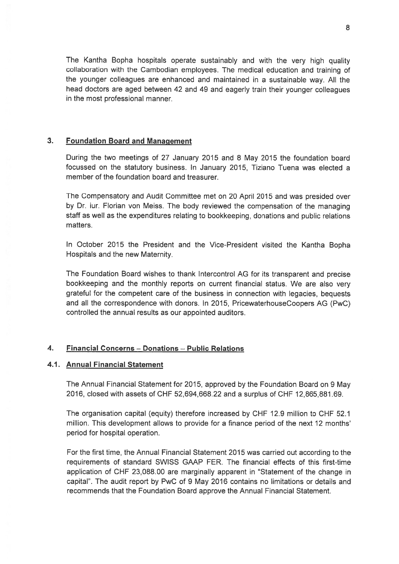The Kantha Bopha hospitals operate sustainably and with the very high quality collaboration with the Cambodian employees. The medical education and training of the younger colleagues are enhanced and maintained in <sup>a</sup> sustainable way. All the head doctors are aged between <sup>42</sup> and 49 and eagerly train their younger colleagues in the most professional manner.

## 3. Foundation Board and Management

During the twa meetings of 27 January 2015 and 8 May 2015 the foundation board focussed an the statutory business. In January 2015, Tiziano Tuena was elected <sup>a</sup> member of the foundation board and treasurer.

The Compensatory and Audit Committee met on 20 April 2015 and was presided over by Dr. iur. Florian von Meiss. The body reviewed the compensation of the managing staff as well as the expenditures relating to bookkeeping, donations and public relations matters.

In October <sup>2015</sup> the President and the Vice-President visited the Kantha Bopha Hospitals and the new Maternity.

The Foundation Board wishes to thank Intercontrol AG for its transparent and precise bookkeeping and the monthly reports an current financial status. We are also very grateful for the competent care of the business in connection with legacies, bequests and all the correspondence with donors. In 2015, PricewaterhouseCoopers AG (PwC) controlled the annual results as our appointed auditors.

# 4. Financial Concerns — Donations — Public Relations

# 4.1. Annual Financial Statement

The Annual Financial Statement for 2015, approved by the Foundation Board on 9 May 2016, closed with assets af CHF 52,694,668.22 and <sup>a</sup> surplus of CHF 12,865,881 .69.

The organisation capital (equity) therefore increased by CHF 12.9 million to CHF 52.1 million. This development allows ta provide for <sup>a</sup> finance period of the next 12 months' period for hospital operation.

For the first time, the Annual Financial Statement 2015 was carried aut accarding to the requirements of standard SWISS GAAP FER. The financial effects of this first-time application of CHF 23,088.00 are marginally apparen<sup>t</sup> in 'Statement of the change in capital". The audit report by PwC of 9 May 2016 contains no limitations or details and recommends that the Foundation Board approve the Annual Financial Statement.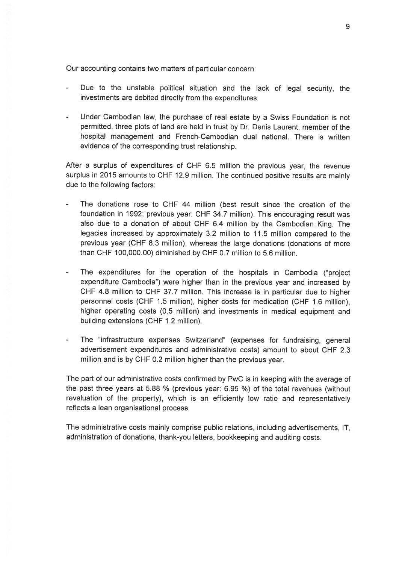Our accounting contains two matters of particular concern:

- Due to the unstable political situation and the lack of legal security, the investments are debited directly from the expenditures.
- Under Cambodian law, the purchase of real estate by <sup>a</sup> Swiss Foundation is not permitted, three <sup>p</sup>lots of land are held in trust by Dr. Denis Laurent, member of the hospital managemen<sup>t</sup> and French-Cambodian dual national. There is written evidence of the corresponding trust relationship.

After <sup>a</sup> surplus of expenditures of CHF 6.5 million the previous year, the revenue surplus in <sup>2015</sup> amounts to CHF 12.9 million. The continued positive results are mainly due to the following factors:

- The donations rose to CHF 44 million (best result since the creation of the foundation in 1992; previous year: CHF 34.7 million). This encouraging result was also due to <sup>a</sup> donation of about CHF 6.4 million by the Cambodian King. The legacies increased by approximately 3.2 million to 11.5 million compared to the previous year (CHF 8.3 million), whereas the large donations (donations of more than CHF 100,000.00) diminished by CHF 0.7 million to 5.6 million.
- The expenditures for the operation of the hospitals in Cambodia ("project expenditure Cambodia") were higher than in the previous year and increased by CHF 4.8 million to CHF 37.7 million. This increase is in particular due to higher personnel costs (CHF 1.5 million), higher costs for medication (CHF 1.6 million), higher operating costs (0.5 million) and investments in medical equipment and building extensions (CHF 1.2 million).
- The "infrastructure expenses Switzerland" (expenses for fundraising, genera<sup>l</sup> advertisement expenditures and administrative costs) amount to about CHF 2.3 million and is by CHF 0.2 million higher than the previous year.

The par<sup>t</sup> of our administrative costs confirmed by PwC is in keeping with the average of the pas<sup>t</sup> three years at 5.88 % (previous year: 6.95 %) of the total revenues (without revaluation of the property), which is an efficiently bw ratio and representatively reflects <sup>a</sup> lean organisational process.

The administrative costs mainly comprise public relations, including advertisements, IT, administration of donations, thank-you letters, bookkeeping and auditing costs.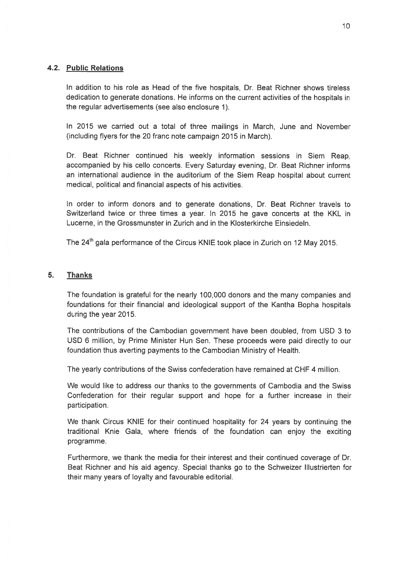## 4.2. Public Relations

In addition to his role as Head of the five hospitals, Dr. Beat Richner shows tireless dedication to generate donations. He informs on the current activities of the hospitals in the regular advertisements (see also enclosure 1).

In 2015 we carried out <sup>a</sup> total of three mailings in March, June and November (including flyers for the 20 franc note campaign 2015 in March).

Dr. Beat Richner continued his weekly information sessions in Siem Reap, accompanied by his cello concerts. Every Saturday evening, Dr. Beat Richner informs an international audience in the auditorium of the Siem Reap hospital about current medical, political and financial aspects of his activities.

In order to inform donors and to generate donations, Dr. Beat Richner travels to Switzerland twice or three times <sup>a</sup> year. In 2015 he gave concerts at the KKL in Lucerne, in the Grossmunster in Zurich and in the Klosterkirche Einsiedeln.

The 24<sup>th</sup> gala performance of the Circus KNIE took place in Zurich on 12 May 2015.

## 5. Thanks

The foundation is grateful for the nearly 100,000 donors and the many companies and foundations for their financial and ideological suppor<sup>t</sup> of the Kantha Bopha hospitals during the year 2015.

The contributions of the Cambodian governmen<sup>t</sup> have been doubled, from USD 3 to USD 6 million, by Prime Minister Hun Sen. These proceeds were paid directly to our foundation thus averting payments to the Cambodian Ministry of Health.

The yearly contributions of the Swiss confederation have remained at CHF 4 million.

We would like to address our thanks to the governments of Cambodia and the Swiss Confederation for their regular suppor<sup>t</sup> and hope for <sup>a</sup> further increase in their participation.

We thank Circus KNIE for their continued hospitality for 24 years by continuing the traditional Knie Gala, where friends of the foundation can enjoy the exciting programme.

Furthermore, we thank the media for their interest and their continued coverage of Dr. Beat Richner and his aid agency. Special thanks go to the Schweizer Illustrierten for their many years of loyalty and favourable editorial.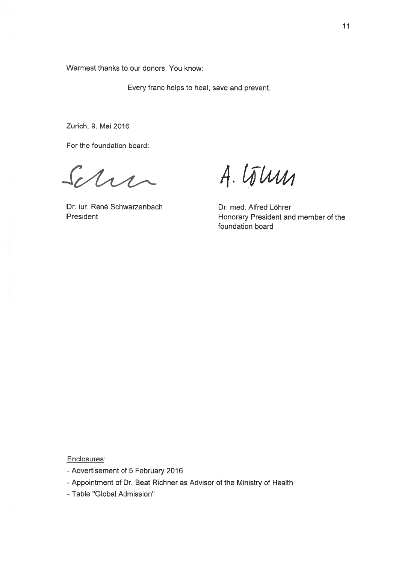Warmest thanks to our donors. You know:

Every franc helps to heal, save and prevent.

Zurich, 9. Mai 2016

For the foundation board:

Schri

Dr. iur. René Schwarzenbach Dr. med. Alfred Löhrer

A. Lõlum

President **President Honorary President and member of the** foundation board

Enciosures:

- Advertisement of 5 February 2016
- -Appointment of Dr. Beat Richner as Advisor of the Ministry of Health
- -Table "Global Admission"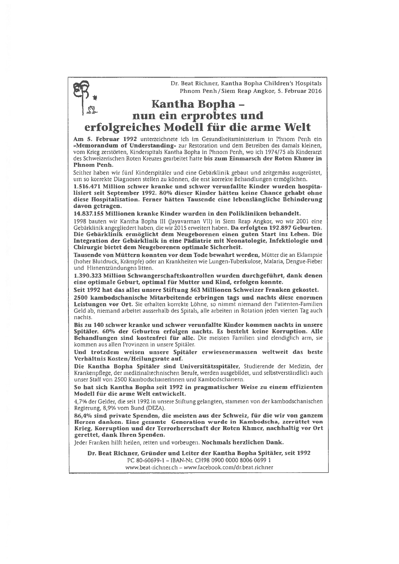Dr. Beat Richner, Kantha Bopha Children's Hospitals Phnom Penh/Siem Reap Angkor, 5. februar 2016

# Kantha Bopha nun ein erprobtes und erfolgreiches Modell für die arme Welt

Am 5. Februar 1992 unterzeichnete ich im Gesundheitsministerium in Phnom Penh ein »Memorandum of Understanding» zur Restoration und dem Betreiben des damals kleinen, vom Krieg zerstörten, Kinderspitals Kantha Bopha in Phnom Penh, wo ich 1974/75 als Kinderarzt des Schweizerischen Roten Kreuzes gearbeitet hatte bis zum Einmarsch der Roten Khmer in Phnom Penh.

Seither haben wir fünf Kinderspitäler und eine Gebärklinik gebaut und zeitgemäss ausgerüstet, um so korrekte Diagnosen stellen zu können, die erst korrekte Behandlungen ermöglichen.

1.516.471 Million schwer kranke und schwer verunfallte Kinder wurden hospita ilsiert seit September 1992. 80% dieser Kinder hätten keine Chance gehabt ohne diese Hospitalisation. Ferner hätten Tausende eine lebenslängliche Behinderung davon getragen.

14.837.155 Millionen kranke Kinder wurden in den Polikliniken behandelt.

<sup>1998</sup> bauten wir Kantha Bopha III Uayavarman VII) in Siern Reap Angkor, wo wir <sup>2001</sup> eine Gebärklinik angegliedert haben, die wir 2015 erweitert haben. Da erfolgten 192.897 Geburten. Die Gebärklinik ermöglicht dem Neugeborenen einen guten Start ins Leben. Die Integration der Gebärklinik in eine Pädiatrie mit Neonatologie, lnfektiologie und Chirurgie bietet dem Neugeborenen optimale Sicherheit.

Tausende von Müttern konnten vor dem Tode bewahrt werden, Mütter die an Eklampsie (hoher Blutdruck, Krämpfe) oder an Krankheiten wie Lungen-Tuberkulose, Malaria, Dengue-Fieber und Hirnentzündungen litten.

1.390.323 Million Schwangerschaftskontrollen wurden durchgeführt, dank denen eine optimale Geburt, optimal für Mutter und Kind, erfolgen konnte.

Seit 1992 hat das alles unsere Stiftung 563 Millionen Schweizer Franken gekostet.

2500 kambodschanische Mitarbeitende erbringen tags und nachts diese enormen Leistungen vor Ort. Sie erhalten korrekte Löhne, so nimmt niemand den Patienten-Familien Geld ab, niemand arbeitet ausserhalb des Spitals, alle arbeiten in Rotation jeden vierten Tag auch nachts.

Bis zu 140 schwer kranke und schwer verunfallte Kinder kommen nachts in unsere Spitäler. 60% der Geburten erfolgen nachts. Es besteht keine Korruption. Alle Behandlungen sind kostenfrei für alle. Die meisten Familien sind elendiglich arm, sie kommen aus allen Provinzen in unsere Spitäler.

Und trotzdem weisen unsere Spitäler erwiesenermassen weltweit das beste Verhältnis Kosten/Heilungsrate auf.

Die Kantha Bopha Spitäler sind Universitätsspitäler, Studierende der Medizin, der Krankenpflege, der medizinaltechnischen Berufe, werden ausgebildet, und selbstverständlich auch unser Staff von 2500 Kambodschanerinnen und Kambodschanern.

So hat sich Kantha Boplia seit 1992 in pragmatischer Weise zu einem effizienten Modell für die arme Welt entwickelt.

4,7% der Gelder, die seit 1992 in unsere Stiftung gelangten, stammen von der kambodschanischen Regierung, 8,9% vom Bund (DEZA).

86.4% sind private Spenden, die meisten aus der Schweiz, für die wir von ganzem Herzen danken. Eine gesamte Generation wurde in Kambodscha, zerrüttet von Krieg, Korruption und der Terrorherrschaft der Roten Khmer, nachhaltig vor Ort gerettet, dank Ihren Spenden.

Jeder Franken hilft heilen, retten und vorbeugen. Nochmals herzlichen Dank.

Dr. Beat Richner, Gründer und Leiter der Kantha Bopha Spitäler, seit 1992

PC 80-60699-1 — IBAN-Nr. CH98 0900 0000 8006 0699 1 www.beat-richner.ch - www.facebook.com/dr.beat.richner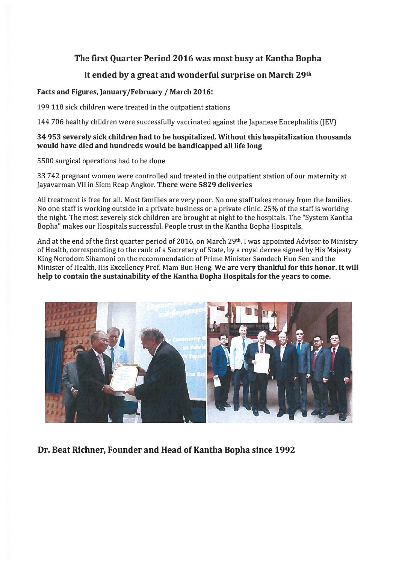# The first Quarter Period 2016 was most busy at Kantha Bopha

# It ended by a great and wonderful surprise on March 29th

# Facts and figures, January/February / March 2016:

199 118 sick children were treated in the outpatient stations

144 706 healthy chuldren were successfully vaccinated against the Japanese Encephalitis (1EV]

# 34 953 severely sick chuldren bad to be hospitalized. Without this hospitalization thousands would have died and hundreds would be handicapped all life long

5500 surgical operations had to be done

33 742 pregnan<sup>t</sup> women were controlled and treated in the outpatient station of our maternity at Jayavarman VII in Siem Reap Angkor. There were 5829 deliveries

All treatment is free for all. Most families are very poor. No one stafftakes money from the families. No one staff is working outside in a private business or a private clinic. 25% of the staff is working the night. The most severely sick children are brought at night to the hospitals. The "System Kantha Bopha" makes our Hospitals successful. People trust in the Kantha Bopha Hospitals.

And at the end of the first quarter period of 2016, on March 29<sup>th</sup>, I was appointed Advisor to Ministry of Health, corresponding to the rank of <sup>a</sup> Secretary of State, by <sup>a</sup> royal decree signed by His Majesty King Norodom Sihamoni on the recommendation of Prime Minister Samdech Hun Sen and the Minister of Health, His Excellency Prof. Mam Bun Heng. We are very thankful for this honor. lt will help to contain the sustainability of the Kantha Bopha Hospitals for the years to come.



Dr. Beat Richner, founder and Head of Kantha Bopha since 1992